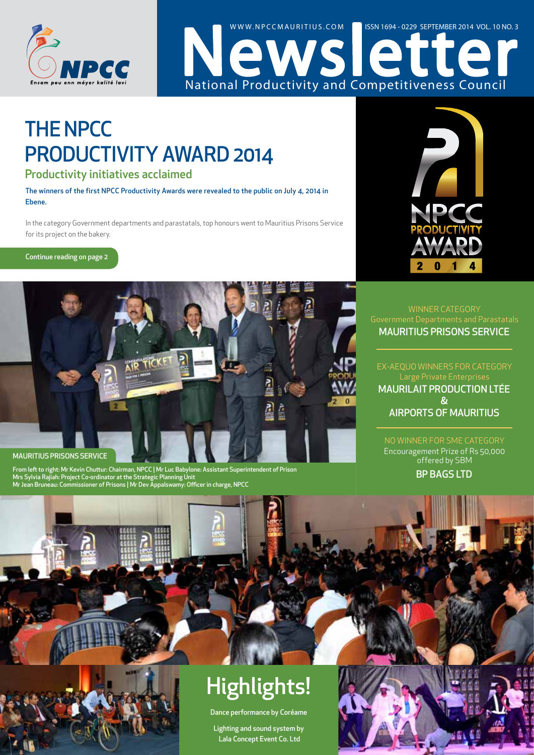



## THE NPCC PRODUCTIVITY AWARD 2014

#### Productivity initiatives acclaimed

The winners of the first NPCC Productivity Awards were revealed to the public on July 4, 2014 in Ebene.

In the category Government departments and parastatals, top honours went to Mauritius Prisons Service for its project on the bakery.

Continue reading on page 2



From left to right: Mr Kevin Chuttur: Chairman, NPCC | Mr Luc Babylone: Assistant Superintendent of Prison Mrs Sylvia Rajiah: Project Co-ordinator at the Strategic Planning Unit Mr Jean Bruneau: Commissioner of Prisons | Mr Dev Appalswamy: Officer in charge, NPCC



#### MAURITIUS PRISONS SERVICE Government Departments and Parastatals

MAURILAIT PRODUCTION LTÉE & AIRPORTS OF MAURITIUS Large Private Enterprise

NO WINNER FOR SME CATEGORY Encouragement Prize of Rs 50,000 offered by SBM

BP BAGS LTD

## Highlights!

Dance performance by Coréame

Lighting and sound system by Lala Concept Event Co. Ltd

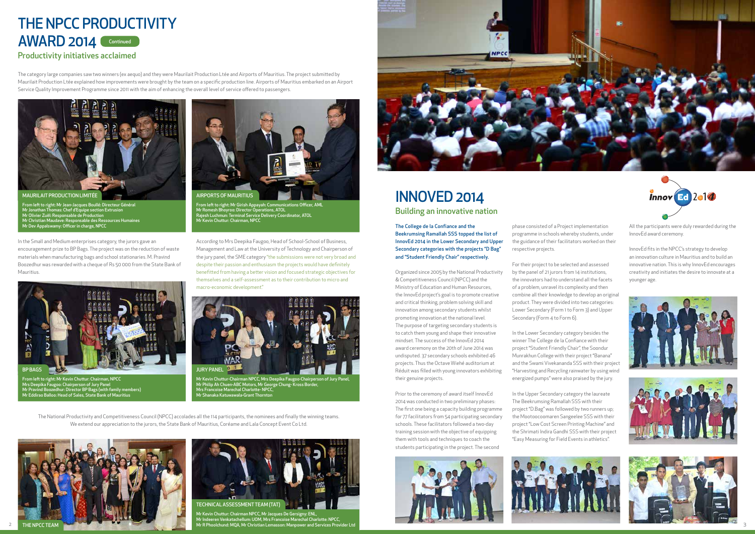The College de la Confiance and the Beekrumsing Ramallah SSS topped the list of InnovEd 2014 in the Lower Secondary and Upper Secondary categories with the projects "D Bag" and "Student Friendly Chair" respectively.

Organized since 2005 by the National Productivity & Competitiveness Council (NPCC) and the Ministry of Education and Human Resources, the InnovEd project's goal is to promote creative and critical thinking, problem solving skill and innovation among secondary students whilst promoting innovation at the national level. The purpose of targeting secondary students is to catch them young and shape their innovative mindset. The success of the InnovEd 2014 award ceremony on the 20th of June 2014 was undisputed. 37 secondary schools exhibited 46 projects. Thus the Octave Wiehé auditorium at Réduit was filled with young innovators exhibiting their genuine projects.

Prior to the ceremony of award itself InnovEd 2014 was conducted in two preliminary phases: The first one being a capacity building programme for 77 facilitators from 54 participating secondary schools. These facilitators followed a two-day training session with the objective of equipping them with tools and techniques to coach the students participating in the project. The second



phase consisted of a Project implementation programme in schools whereby students, under the guidance of their facilitators worked on their respective projects.

For their project to be selected and assessed by the panel of 21 jurors from 14 institutions, the innovators had to understand all the facets of a problem, unravel its complexity and then combine all their knowledge to develop an original product. They were divided into two categories: Lower Secondary (Form 1 to Form 3) and Upper Secondary (Form 4 to Form 6).

In the Lower Secondary category besides the winner The College de la Confiance with their project "Student Friendly Chair", the Soondur Munrakhun College with their project "Banana" and the Swami Vivekananda SSS with their project "Harvesting and Recycling rainwater by using wind energized pumps" were also praised by the jury.

In the Upper Secondary category the laureate The Beekrumsing Ramallah SSS with their project "D.Bag" was followed by two runners up; the Mootoocoomaren Sangeelee SSS with their project "Low Cost Screen Printing Machine" and the Shrimati Indira Gandhi SSS with their project "Easy Measuring for Field Events in athletics".





All the participants were duly rewarded during the InnovEd award ceremony.

InnovEd fits in the NPCC's strategy to develop an innovation culture in Mauritius and to build an innovative nation. This is why InnovEd encourages creativity and initiates the desire to innovate at a younger age.







2 3 Mr Kevin Chuttur: Chairman NPCC, Mr Jacques De Gersigny: ENL, Mr Indeeren Venkatachellum: UOM, Mrs Francoise Marechal Charlotte: NPCC, Mr R Phoolchund: MQA, Mr Christian Lemasson: Manpower and Services Provider Ltd



The category large companies saw two winners (ex aequo) and they were Maurilait Production Ltée and Airports of Mauritius. The project submitted by Maurilait Production Ltée explained how improvements were brought by the team on a specific production line. Airports of Mauritius embarked on an Airport Service Quality Improvement Programme since 2011 with the aim of enhancing the overall level of service offered to passengers.

In the Small and Medium enterprises category, the jurors gave an encouragement prize to BP Bags. The project was on the reduction of waste materials when manufacturing bags and school stationaries. M. Pravind Boozedhur was rewarded with a cheque of Rs 50 000 from the State Bank of Mauritius.

According to Mrs Deepika Faugoo, Head of School-School of Business, Management and Law at the University of Technology and Chairperson of the jury panel, the SME category "the submissions were not very broad and despite their passion and enthusiasm the projects would have definitely benefitted from having a better vision and focused strategic objectives for themselves and a self-assessment as to their contribution to micro and macro-economic development."

The National Productivity and Competitiveness Council (NPCC) accolades all the 114 participants, the nominees and finally the winning teams. We extend our appreciation to the jurors, the State Bank of Mauritius, Coréame and Lala Concept Event Co Ltd.

## INNOVED 2014

## THE NPCC PRODUCTIVITY AWARD 2014 Continued

#### Productivity initiatives acclaimed

Building an innovative nation



From left to right: Mr Girish Appayah: Communications Officer, AML Mr Romesh Bhoyroo: Director Operations, ATOL Rajesh Luchmun: Terminal Service Delivery Coordinator, ATOL Mr Kevin Chuttur: Chairman, NPCC



From left to right: Mr Jean-Jacques Boullé: Directeur Général Mr Jonathan Thomas: Chef d'Equipe section Extrusion Mr Olivier Zuël: Responsable de Production Mr Christian Maudave: Responsable des Ressources Humaines Mr Dev Appalswamy: Officer in charge, NPCC



Mr Kevin Chuttur-Chairman NPCC, Mrs Deepika Faugoo-Chairperson of Jury Panel, Mr Philip Ah Chuen-ABC Motors, Mr George Chung- Kross Border, Mrs Francoise Marechal Charlotte- NPCC, Mr Shanaka Katuwawala-Grant Thornton



From left to right: Mr Kevin Chuttur: Chairman, NPCC Mrs Deepika Faugoo: Chairperson of Jury Panel Mr Pravind Boozedhur: Director BP Bags (with family members) Mr Eddirao Balloo: Head of Sales, State Bank of Mauritius



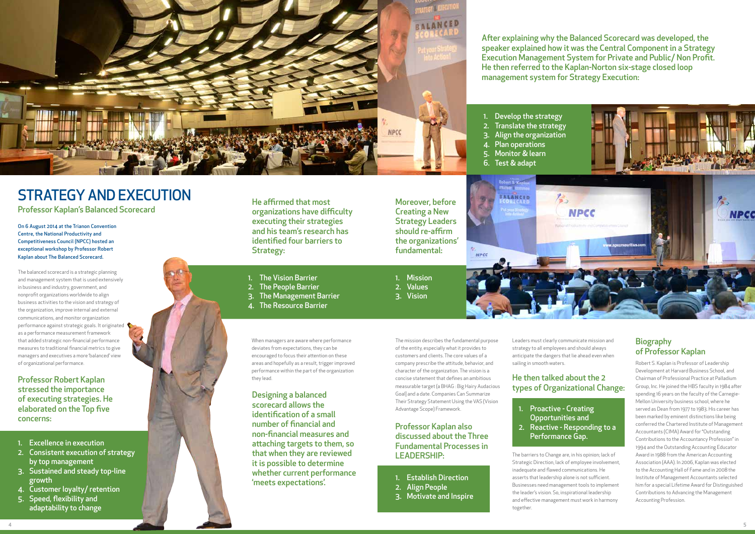On 6 August 2014 at the Trianon Convention Centre, the National Productivity and Competitiveness Council (NPCC) hosted an exceptional workshop by Professor Robert Kaplan about The Balanced Scorecard.

The balanced scorecard is a strategic planning and management system that is used extensively in business and industry, government, and nonprofit organizations worldwide to align business activities to the vision and strategy of the organization, improve internal and external communications, and monitor organization performance against strategic goals. It originated as a performance measurement framework that added strategic non-financial performance measures to traditional financial metrics to give managers and executives a more 'balanced' view of organizational performance.

When managers are aware where performance deviates from expectations, they can be encouraged to focus their attention on these areas and hopefully as a result, trigger improved performance within the part of the organization they lead.

The mission describes the fundamental purpose of the entity, especially what it provides to customers and clients. The core values of a company prescribe the attitude, behavior, and character of the organization. The vision is a concise statement that defines an ambitious measurable target (a BHAG : Big Hairy Audacious Goal] and a date. Companies Can Summarize Their Strategy Statement Using the VAS (Vision Advantage Scope) Framework.

Leaders must clearly communicate mission and

strategy to all employees and should always anticipate the dangers that lie ahead even when sailing in smooth waters.

The barriers to Change are, in his opinion; lack of Strategic Direction, lack of employee involvement, inadequate and flawed communications. He asserts that leadership alone is not sufficient. Businesses need management tools to implement the leader's vision. So, inspirational leadership and effective management must work in harmony together.

#### **Biography** of Professor Kaplan

Robert S. Kaplan is Professor of Leadership Development at Harvard Business School, and Chairman of Professional Practice at Palladium Group, Inc. He joined the HBS faculty in 1984 after spending 16 years on the faculty of the Carnegie-Mellon University business school, where he served as Dean from 1977 to 1983. His career has been marked by eminent distinctions like being conferred the Chartered Institute of Management Accountants (CIMA) Award for "Outstanding Contributions to the Accountancy Profession" in 1994 and the Outstanding Accounting Educator Award in 1988 from the American Accounting Association (AAA). In 2006, Kaplan was elected to the Accounting Hall of Fame and in 2008 the Institute of Management Accountants selected him for a special Lifetime Award for Distinguished Contributions to Advancing the Management Accounting Profession.

- 1. Excellence in execution
- 2. Consistent execution of strategy by top management
- 3. Sustained and steady top-line growth
- 4. Customer loyalty/ retention
- 5. Speed, flexibility and adaptability to change



- 1. The Vision Barrier
- 2. The People Barrier
- 3. The Management Barrier
- 4. The Resource Barrier
- 1. Mission
- 2. Values 3. Vision

- 1. Establish Direction
- 2. Align People
- 3. Motivate and Inspire
- 1. Proactive Creating
- Opportunities and 2. Reactive - Responding to a

# Performance Gap.



## STRATEGY AND EXECUTION

Professor Kaplan's Balanced Scorecard

Professor Robert Kaplan stressed the importance of executing strategies. He elaborated on the Top five concerns:

He affirmed that most organizations have difficulty executing their strategies and his team's research has identified four barriers to Strategy:

Moreover, before Creating a New Strategy Leaders should re-affirm the organizations' fundamental:

#### Professor Kaplan also discussed about the Three Fundamental Processes in LEADERSHIP:

#### He then talked about the 2 types of Organizational Change:

Designing a balanced scorecard allows the identification of a small number of financial and non-financial measures and attaching targets to them, so that when they are reviewed it is possible to determine whether current performance 'meets expectations'.

After explaining why the Balanced Scorecard was developed, the speaker explained how it was the Central Component in a Strategy Execution Management System for Private and Public/ Non Profit. He then referred to the Kaplan-Norton six-stage closed loop management system for Strategy Execution:

- 
- 
- 
- 
- 
-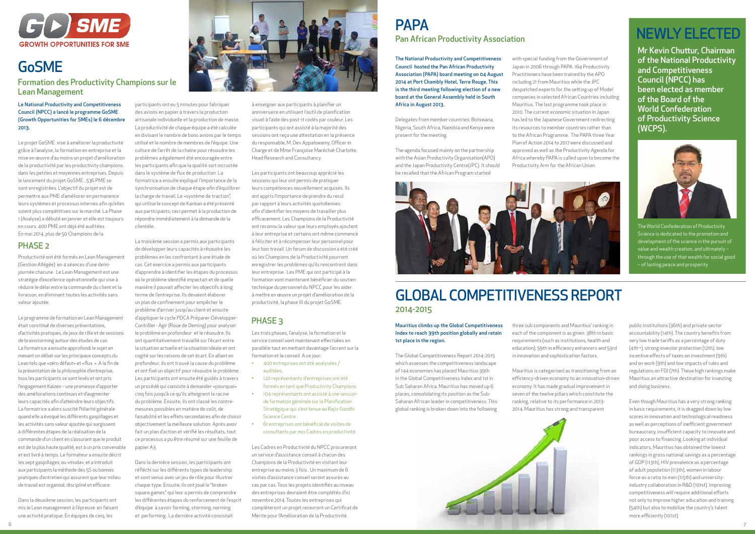

#### Mauritius climbs up the Global Competitiveness Index to reach 39th position globally and retain 1st place in the region.

The Global Competitiveness Report 2014-2015 which assesses the competitiveness landscape of 144 economies has placed Mauritius 39th in the Global Competitiveness Index and 1st in Sub Saharan Africa. Mauritius has moved up 6 places, consolidating its position as the Sub-Saharan African leader in competitiveness. This global ranking is broken down into the following three sub components and Mauritius' ranking in each of the component is as given: 38th in basic requirements (such as institutions, health and education), 59th in efficiency enhancers and 53rd in innovation and sophistication factors.

Mauritius is categorised as transitioning from an efficiency-driven economy to an innovation-driven economy. It has made gradual improvement in seven of the twelve pillars which constitute the ranking, relative to its performance in 2013- 2014. Mauritius has strong and transparent

public institutions (36th) and private sector accountability (14th). The country benefits from very low trade tariffs as a percentage of duty (4th¬), strong investor protection (12th), low incentive effects of taxes on investment (9th) and on work (9th) and low impacts of rules and regulations on FDI (7th). These high rankings make Mauritius an attractive destination for investing and doing business.

Even though Mauritius has a very strong ranking in basic requirements, it is dragged down by low scores in innovation and technological readiness as well as perceptions of inefficient government bureaucracy, insufficient capacity to innovate and poor access to financing. Looking at individual indicators, Mauritius has obtained the lowest rankings in gross national savings as a percentage of GDP (113th), HIV prevalence as a percentage of adult population (113th), women in labour force as a ratio to men (115th) and universityindustry collaboration in R&D (101st). Improving competitiveness will require additional efforts not only to improve higher education and training (54th) but also to mobilize the country's talent more efficiently (101st).

#### Le National Productivity and Competitiveness Council (NPCC) a lancé le programme GoSME (Growth Opportunities for SMEs) le 6 décembre 2013.

Le projet GoSME vise à améliorer la productivité grâce à l'analyse, la formation en entreprise et la mise en œuvre d'au moins un projet d'amélioration de la productivité par les productivity champions dans les petites et moyennes entreprises. Depuis le lancement du projet GoSME , 536 PME se sont enregistrées. L'objectif du projet est de permettre aux PME d'améliorer en permanence leurs systèmes et processus internes afin qu'elles soient plus compétitives sur le marché. La Phase 1 (Analyse) a débuté en janvier et elle est toujours en cours. 400 PME ont déjà été auditées. En mai 2014, plus de 50 Champions de la

Productivité ont été formés en Lean Management (Gestion Allégée) en 4 séances d'une demijournée chacune. Le Lean Management est une stratégie d'excellence opérationnelle qui vise à réduire le délai entre la commande du client et la livraison, en éliminant toutes les activités sans valeur ajoutée.

Le programme de formation en Lean Management était constitué de diverses présentations, d'activités pratiques, de jeux de rôle et de sessions de brainstorming autour des études de cas. La formatrice a ensuite approfondi le sujet en menant un débat sur les principaux concepts du Lean tels que «zéro défaut» et «flux ». A la fin de la présentation de la philosophie d'entreprise, tous les participants se sont levés et ont pris l'engagement Kaizen – une promesse d'apporter des améliorations continues et d'augmenter leurs capacités afin d'atteindre leurs objectifs. La formatrice a alors suscité l'hilarité générale quand elle a évoqué les différents gaspillages et les activités sans valeur ajoutée qui surgissent à différentes étapes de la réalisation de la commande d'un client en s'assurant que le produit est de la plus haute qualité, est à un prix convenable et est livré à temps. Le formateur a ensuite décrit les sept gaspillages, ou «muda», et a introduit aux participants la méthode des 5S ou bonnes pratiques d'entretien qui assurent que leur milieu de travail est organisé, discipliné et efficace.

Dans la deuxième session, les participants ont mis le Lean management à l'épreuve en faisant une activité pratique. En équipes de cinq, les



#### **PAPA** Pan African Productivity Association

La troisième session a permis aux participants de développer leurs capacités à résoudre les problèmes en les confrontant à une étude de cas. Cet exercice a permis aux participants d'apprendre à identifier les étapes du processus où le problème identifié impactait et de quelle manière il pouvait affecter les objectifs à long terme de l'entreprise. Ils devaient élaborer un plan de confinement pour empêcher le problème d'arriver jusqu'au client et ensuite d'appliquer le cycle PDCA Préparer-Développer-Contrôler- Agir (Roue de Deming) pour analyser le problème en profondeur et le résoudre. Ils ont quantitativement travaillé sur l'écart entre la situation actuelle et la situation idéale et ont cogité sur les raisons de cet écart. En allant en profondeur, ils ont trouvé la cause du problème et ont fixé un objectif pour résoudre le problème. Les participants ont ensuite été guidés à travers un procédé qui consiste à demander «pourquoi» cinq fois jusqu'à ce qu'ils atteignent la racine du problème. Ensuite, ils ont classé les contremesures possibles en matière de coût, de faisabilité et les effets secondaires afin de choisir objectivement la meilleure solution. Après avoir fait un plan d'action et vérifié les résultats, tout ce processus a pu être résumé sur une feuille de papier A3.

Dans la dernière session, les participants ont réfléchi sur les différents types de leadership et sont venus avec un jeu de rôle pour illustrer chaque type. Ensuite, ils ont joué le "broken square games" qui leur a permis de comprendre les différentes étapes du renforcement de l'esprit d'équipe à savoir forming, storming, norming et performing . La dernière activité consistait

à enseigner aux participants à planifier un anniversaire en utilisant l'outil de planification visuel à l'aide des post-it codés par couleur. Les participants qui ont assisté à la majorité des sessions ont reçu une attestation en la présence du responsable, M. Dev Appalswamy, Officer in Charge et de Mme Françoise Maréchal-Charlotte, Head Research and Consultancy.

Les participants ont beaucoup apprécié les sessions qui leur ont permis de pratiquer leurs compétences nouvellement acquises. Ils ont appris l'importance de prendre du recul par rapport à leurs activités quotidiennes afin d'identifier les moyens de travailler plus efficacement. Les Champions de la Productivité ont reconnu la valeur que leurs employés ajoutent à leur entreprise et certains ont même commencé à féliciter et à récompenser leur personnel pour leur bon travail. Un forum de discussion a été créé où les Champions de la Productivité pourront enregistrer les problèmes qu'ils rencontrent dans leur entreprise. Les PME qui ont participé à la formation vont maintenant bénéficier du soutien technique du personnel du NPCC pour les aider à mettre en œuvre un projet d'amélioration de la productivité, la phase III du projet GoSME.

Les trois phases, l'analyse, la formation et le service conseil sont maintenant effectuées en parallèle tout en mettant davantage l'accent sur la formation et le conseil. A ce jour:

- • 400 entreprises ont été analysées / auditées,
- 120 représentants d'entreprises ont été formés en tant que Productivity Champions
- • 104 représentants ont assisté à une session de formation générale sur la Planification Stratégique qui s'est tenue au Rajiv Gandhi Science Centre
- 61 entreprises ont bénéficié de visites de consultants par nos Cadres en productivité.

Les Cadres en Productivité du NPCC procureront un service d'assistance conseil à chacun des Champions de la Productivité en visitant leur entreprise au moins 3 fois. Un maximum de 6 visites d'assistance conseil seront assurés au cas par cas. Tous les projets identifiés au niveau des entreprises devraient être complétés d'ici novembre 2014. Toutes les entreprises qui complèteront un projet recevront un Certificat de Mérite pour l'Amélioration de la Productivité.



## GoSME

#### Formation des Productivity Champions sur le Lean Management

#### PHASE 2

#### PHASE 3

The National Productivity and Competitiveness Council hosted the Pan African Productivity Association (PAPA) board meeting on 04 August 2014 at Port Chambly Hotel, Terre Rouge. This is the third meeting following election of a new board at the General Assembly held in South Africa in August 2013.

Delegates from member countries: Botswana, Nigeria, South Africa, Namibia and Kenya were present for the meeting.

The agenda focused mainly on the partnership with the Asian Productivity Organisation(APO) and the Japan Productivity Centre(JPC). It should be recalled that the African Program started

with special funding from the Government of Japan in 2006 through PAPA. 164 Productivity Practitioners have been trained by the APO including 21 from Mauritius while the JPC despatched experts for the setting up of Model companies in selected African Countries including Mauritius. The last programme took place in 2010. The current economic situation in Japan has led to the Japanese Government redirecting its resources to member countries rather than to the African Programme. The PAPA three Year Plan of Action 2014 to 2017 were discussed and approved as well as the Productivity Agenda for Africa whereby PAPA is called upon to become the Productivity Arm for the African Union.



### GLOBAL COMPETITIVENESS REPORT 2014-2015



The World Confederation of Productivity Science is dedicated to the promotion and development of the science in the pursuit of value and wealth creation, and ultimately – through the use of that wealth for social good – of lasting peace and prosperity.

## NEWLY ELECTED

Mr Kevin Chuttur, Chairman of the National Productivity and Competitiveness Council (NPCC) has been elected as member of the Board of the World Confederation of Productivity Science (WCPS).